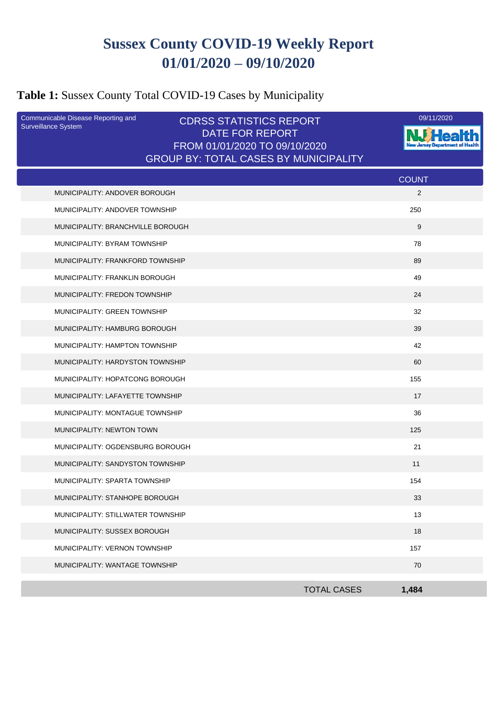# **Sussex County COVID-19 Weekly Report 01/01/2020 – 09/10/2020**

## **Table 1:** Sussex County Total COVID-19 Cases by Municipality

| Communicable Disease Reporting and<br><b>Surveillance System</b> | <b>CDRSS STATISTICS REPORT</b><br>DATE FOR REPORT                             | 09/11/2020     |
|------------------------------------------------------------------|-------------------------------------------------------------------------------|----------------|
|                                                                  | FROM 01/01/2020 TO 09/10/2020<br><b>GROUP BY: TOTAL CASES BY MUNICIPALITY</b> |                |
|                                                                  |                                                                               | <b>COUNT</b>   |
| MUNICIPALITY: ANDOVER BOROUGH                                    |                                                                               | $\overline{2}$ |
| MUNICIPALITY: ANDOVER TOWNSHIP                                   |                                                                               | 250            |
| MUNICIPALITY: BRANCHVILLE BOROUGH                                |                                                                               | 9              |
| MUNICIPALITY: BYRAM TOWNSHIP                                     |                                                                               | 78             |
| MUNICIPALITY: FRANKFORD TOWNSHIP                                 |                                                                               | 89             |
| MUNICIPALITY: FRANKLIN BOROUGH                                   |                                                                               | 49             |
| MUNICIPALITY: FREDON TOWNSHIP                                    |                                                                               | 24             |
| MUNICIPALITY: GREEN TOWNSHIP                                     |                                                                               | 32             |
| MUNICIPALITY: HAMBURG BOROUGH                                    |                                                                               | 39             |
| MUNICIPALITY: HAMPTON TOWNSHIP                                   |                                                                               | 42             |
| MUNICIPALITY: HARDYSTON TOWNSHIP                                 |                                                                               | 60             |
| MUNICIPALITY: HOPATCONG BOROUGH                                  |                                                                               | 155            |
| MUNICIPALITY: LAFAYETTE TOWNSHIP                                 |                                                                               | 17             |
| MUNICIPALITY: MONTAGUE TOWNSHIP                                  |                                                                               | 36             |
| MUNICIPALITY: NEWTON TOWN                                        |                                                                               | 125            |
| MUNICIPALITY: OGDENSBURG BOROUGH                                 |                                                                               | 21             |
| MUNICIPALITY: SANDYSTON TOWNSHIP                                 |                                                                               | 11             |
| MUNICIPALITY: SPARTA TOWNSHIP                                    |                                                                               | 154            |
| MUNICIPALITY: STANHOPE BOROUGH                                   |                                                                               | 33             |
| MUNICIPALITY: STILLWATER TOWNSHIP                                |                                                                               | 13             |
| MUNICIPALITY: SUSSEX BOROUGH                                     |                                                                               | 18             |
| MUNICIPALITY: VERNON TOWNSHIP                                    |                                                                               | 157            |
| MUNICIPALITY: WANTAGE TOWNSHIP                                   |                                                                               | 70             |
|                                                                  | <b>TOTAL CASES</b>                                                            | 1,484          |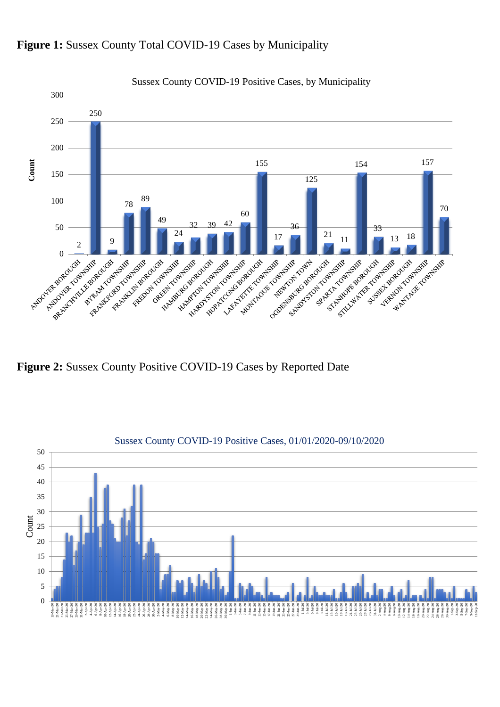

#### Figure 1: Sussex County Total COVID-19 Cases by Municipality

**Figure 2:** Sussex County Positive COVID-19 Cases by Reported Date

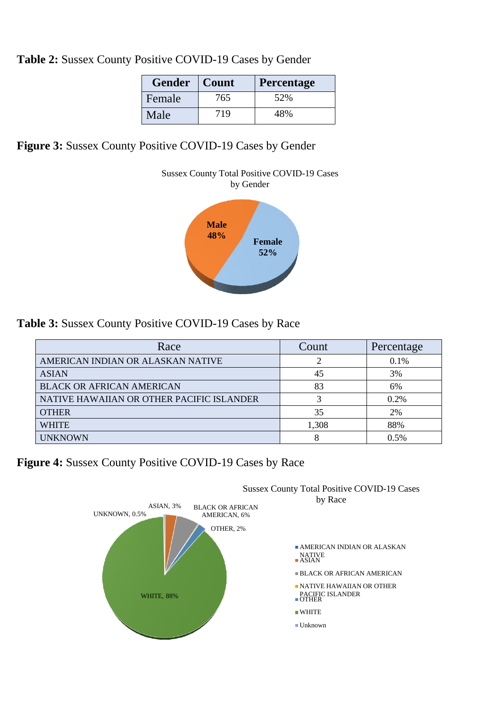|  |  | Table 2: Sussex County Positive COVID-19 Cases by Gender |  |
|--|--|----------------------------------------------------------|--|
|  |  |                                                          |  |

| <b>Gender</b> | Count | <b>Percentage</b> |
|---------------|-------|-------------------|
| Female        | 765   | 52%               |
| Male          | 719   | 48%               |

### **Figure 3:** Sussex County Positive COVID-19 Cases by Gender



### **Table 3:** Sussex County Positive COVID-19 Cases by Race

| Race                                      | Count | Percentage |
|-------------------------------------------|-------|------------|
| AMERICAN INDIAN OR ALASKAN NATIVE         |       | 0.1%       |
| <b>ASIAN</b>                              | 45    | 3%         |
| <b>BLACK OR AFRICAN AMERICAN</b>          | 83    | 6%         |
| NATIVE HAWAIIAN OR OTHER PACIFIC ISLANDER |       | 0.2%       |
| <b>OTHER</b>                              | 35    | 2%         |
| <b>WHITE</b>                              | 1,308 | 88%        |
| <b>UNKNOWN</b>                            |       | 0.5%       |

**Figure 4:** Sussex County Positive COVID-19 Cases by Race



Sussex County Total Positive COVID-19 Cases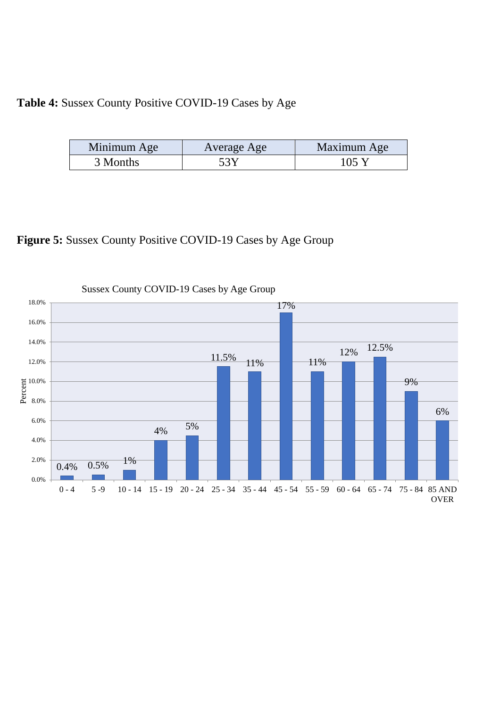### **Table 4:** Sussex County Positive COVID-19 Cases by Age

| Minimum Age | Average Age | Maximum Age        |
|-------------|-------------|--------------------|
| 3 Months    | 53 Y        | $105$ <sup>V</sup> |

## **Figure 5:** Sussex County Positive COVID-19 Cases by Age Group

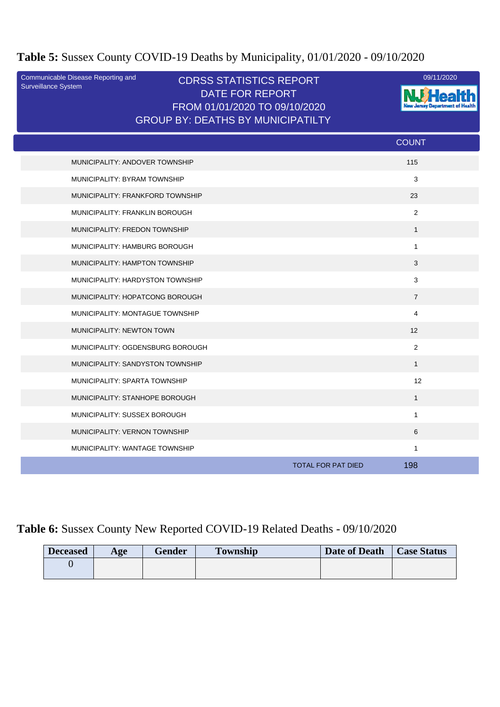## **Table 5:** Sussex County COVID-19 Deaths by Municipality, 01/01/2020 - 09/10/2020

| Communicable Disease Reporting and<br>Surveillance System | <b>CDRSS STATISTICS REPORT</b><br><b>DATE FOR REPORT</b><br>FROM 01/01/2020 TO 09/10/2020<br><b>GROUP BY: DEATHS BY MUNICIPATILTY</b> |                                  | 09/11/2020 |
|-----------------------------------------------------------|---------------------------------------------------------------------------------------------------------------------------------------|----------------------------------|------------|
|                                                           |                                                                                                                                       | <b>COUNT</b>                     |            |
| MUNICIPALITY: ANDOVER TOWNSHIP                            |                                                                                                                                       | 115                              |            |
| MUNICIPALITY: BYRAM TOWNSHIP                              |                                                                                                                                       | 3                                |            |
| MUNICIPALITY: FRANKFORD TOWNSHIP                          |                                                                                                                                       | 23                               |            |
| MUNICIPALITY: FRANKLIN BOROUGH                            |                                                                                                                                       | 2                                |            |
| MUNICIPALITY: FREDON TOWNSHIP                             |                                                                                                                                       | $\mathbf{1}$                     |            |
| MUNICIPALITY: HAMBURG BOROUGH                             |                                                                                                                                       | $\mathbf{1}$                     |            |
| MUNICIPALITY: HAMPTON TOWNSHIP                            |                                                                                                                                       | 3                                |            |
| MUNICIPALITY: HARDYSTON TOWNSHIP                          |                                                                                                                                       | 3                                |            |
| MUNICIPALITY: HOPATCONG BOROUGH                           |                                                                                                                                       | $\overline{7}$                   |            |
| MUNICIPALITY: MONTAGUE TOWNSHIP                           |                                                                                                                                       | 4                                |            |
| MUNICIPALITY: NEWTON TOWN                                 |                                                                                                                                       | 12                               |            |
| MUNICIPALITY: OGDENSBURG BOROUGH                          |                                                                                                                                       | 2                                |            |
| MUNICIPALITY: SANDYSTON TOWNSHIP                          |                                                                                                                                       | $\mathbf{1}$                     |            |
| MUNICIPALITY: SPARTA TOWNSHIP                             |                                                                                                                                       |                                  | 12         |
| MUNICIPALITY: STANHOPE BOROUGH                            |                                                                                                                                       | $\mathbf{1}$                     |            |
| MUNICIPALITY: SUSSEX BOROUGH                              |                                                                                                                                       | $\mathbf{1}$                     |            |
| MUNICIPALITY: VERNON TOWNSHIP                             |                                                                                                                                       | 6                                |            |
| MUNICIPALITY: WANTAGE TOWNSHIP                            |                                                                                                                                       | $\mathbf{1}$                     |            |
|                                                           |                                                                                                                                       | 198<br><b>TOTAL FOR PAT DIED</b> |            |

## **Table 6:** Sussex County New Reported COVID-19 Related Deaths - 09/10/2020

| <b>Deceased</b> | Age | <b>Gender</b> | <b>Township</b> | Date of Death | <b>Case Status</b> |
|-----------------|-----|---------------|-----------------|---------------|--------------------|
|                 |     |               |                 |               |                    |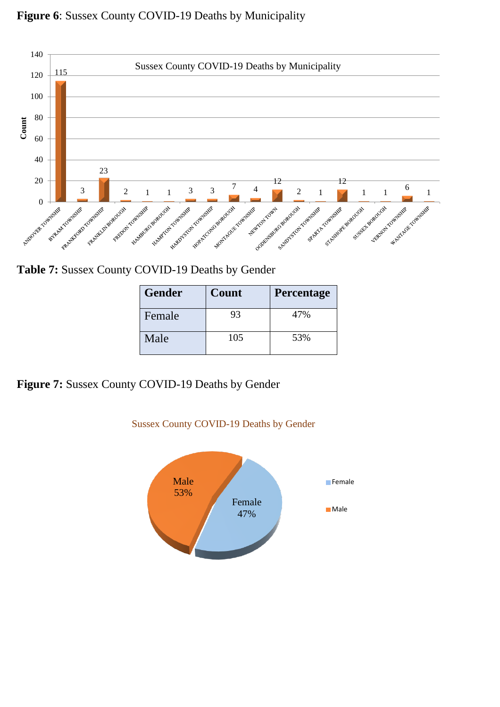### **Figure 6**: Sussex County COVID-19 Deaths by Municipality



**Table 7:** Sussex County COVID-19 Deaths by Gender

| <b>Gender</b> | Count | Percentage |
|---------------|-------|------------|
| Female        | 93    | 47%        |
| Male          | 105   | 53%        |

**Figure 7:** Sussex County COVID-19 Deaths by Gender



Sussex County COVID-19 Deaths by Gender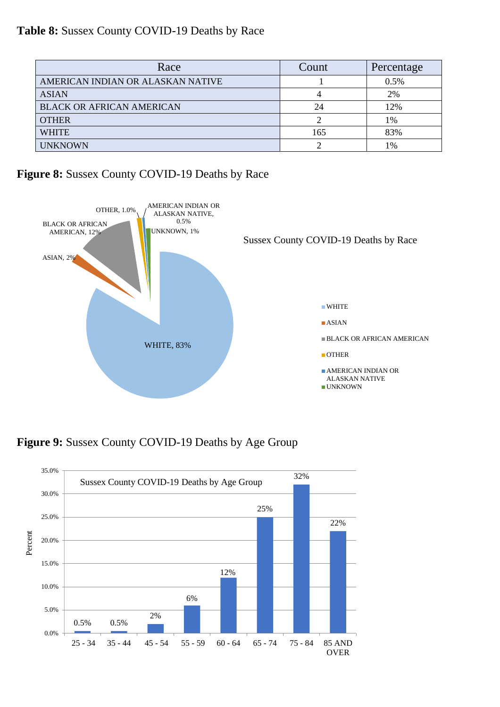**Table 8:** Sussex County COVID-19 Deaths by Race

| Race                              | Count | Percentage |
|-----------------------------------|-------|------------|
| AMERICAN INDIAN OR ALASKAN NATIVE |       | 0.5%       |
| <b>ASIAN</b>                      |       | 2%         |
| <b>BLACK OR AFRICAN AMERICAN</b>  | 24    | 12%        |
| <b>OTHER</b>                      |       | 1%         |
| <b>WHITE</b>                      | 165   | 83%        |
| <b>UNKNOWN</b>                    |       | 1%         |

**Figure 8:** Sussex County COVID-19 Deaths by Race



**Figure 9:** Sussex County COVID-19 Deaths by Age Group